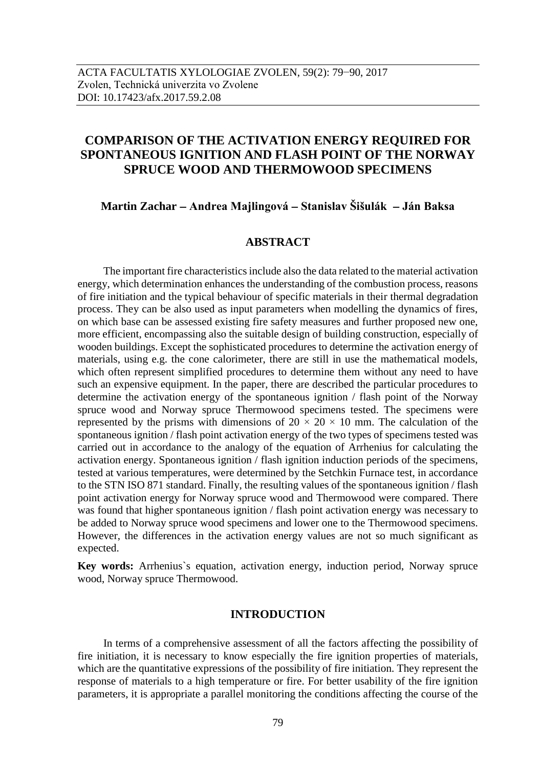# **COMPARISON OF THE ACTIVATION ENERGY REQUIRED FOR SPONTANEOUS IGNITION AND FLASH POINT OF THE NORWAY SPRUCE WOOD AND THERMOWOOD SPECIMENS**

**Martin Zachar Andrea Majlingová Stanislav Šišulák Ján Baksa**

### **ABSTRACT**

The important fire characteristics include also the data related to the material activation energy, which determination enhances the understanding of the combustion process, reasons of fire initiation and the typical behaviour of specific materials in their thermal degradation process. They can be also used as input parameters when modelling the dynamics of fires, on which base can be assessed existing fire safety measures and further proposed new one, more efficient, encompassing also the suitable design of building construction, especially of wooden buildings. Except the sophisticated procedures to determine the activation energy of materials, using e.g. the cone calorimeter, there are still in use the mathematical models, which often represent simplified procedures to determine them without any need to have such an expensive equipment. In the paper, there are described the particular procedures to determine the activation energy of the spontaneous ignition / flash point of the Norway spruce wood and Norway spruce Thermowood specimens tested. The specimens were represented by the prisms with dimensions of  $20 \times 20 \times 10$  mm. The calculation of the spontaneous ignition / flash point activation energy of the two types of specimens tested was carried out in accordance to the analogy of the equation of Arrhenius for calculating the activation energy. Spontaneous ignition / flash ignition induction periods of the specimens, tested at various temperatures, were determined by the Setchkin Furnace test, in accordance to the STN ISO 871 standard. Finally, the resulting values of the spontaneous ignition / flash point activation energy for Norway spruce wood and Thermowood were compared. There was found that higher spontaneous ignition / flash point activation energy was necessary to be added to Norway spruce wood specimens and lower one to the Thermowood specimens. However, the differences in the activation energy values are not so much significant as expected.

**Key words:** Arrhenius`s equation, activation energy, induction period, Norway spruce wood, Norway spruce Thermowood.

# **INTRODUCTION**

In terms of a comprehensive assessment of all the factors affecting the possibility of fire initiation, it is necessary to know especially the fire ignition properties of materials, which are the quantitative expressions of the possibility of fire initiation. They represent the response of materials to a high temperature or fire. For better usability of the fire ignition parameters, it is appropriate a parallel monitoring the conditions affecting the course of the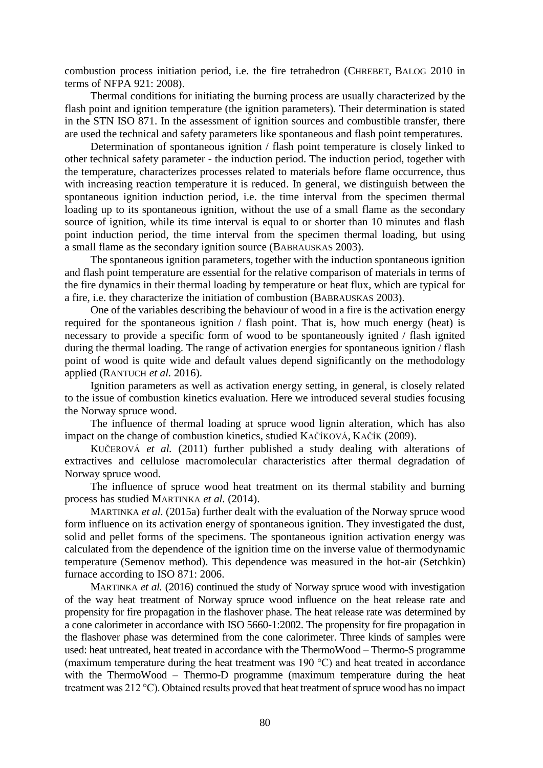combustion process initiation period, i.e. the fire tetrahedron (CHREBET, BALOG 2010 in terms of NFPA 921: 2008).

Thermal conditions for initiating the burning process are usually characterized by the flash point and ignition temperature (the ignition parameters). Their determination is stated in the STN ISO 871. In the assessment of ignition sources and combustible transfer, there are used the technical and safety parameters like spontaneous and flash point temperatures.

Determination of spontaneous ignition / flash point temperature is closely linked to other technical safety parameter - the induction period. The induction period, together with the temperature, characterizes processes related to materials before flame occurrence, thus with increasing reaction temperature it is reduced. In general, we distinguish between the spontaneous ignition induction period, i.e. the time interval from the specimen thermal loading up to its spontaneous ignition, without the use of a small flame as the secondary source of ignition, while its time interval is equal to or shorter than 10 minutes and flash point induction period, the time interval from the specimen thermal loading, but using a small flame as the secondary ignition source (BABRAUSKAS 2003).

The spontaneous ignition parameters, together with the induction spontaneous ignition and flash point temperature are essential for the relative comparison of materials in terms of the fire dynamics in their thermal loading by temperature or heat flux, which are typical for a fire, i.e. they characterize the initiation of combustion (BABRAUSKAS 2003).

One of the variables describing the behaviour of wood in a fire is the activation energy required for the spontaneous ignition / flash point. That is, how much energy (heat) is necessary to provide a specific form of wood to be spontaneously ignited / flash ignited during the thermal loading. The range of activation energies for spontaneous ignition / flash point of wood is quite wide and default values depend significantly on the methodology applied (RANTUCH *et al.* 2016).

Ignition parameters as well as activation energy setting, in general, is closely related to the issue of combustion kinetics evaluation. Here we introduced several studies focusing the Norway spruce wood.

The influence of thermal loading at spruce wood lignin alteration, which has also impact on the change of combustion kinetics, studied KAČÍKOVÁ, KAČÍK (2009).

KUČEROVÁ *et al.* (2011) further published a study dealing with alterations of extractives and cellulose macromolecular characteristics after thermal degradation of Norway spruce wood.

The influence of spruce wood heat treatment on its thermal stability and burning process has studied MARTINKA *et al.* (2014).

MARTINKA *et al.* (2015a) further dealt with the evaluation of the Norway spruce wood form influence on its activation energy of spontaneous ignition. They investigated the dust, solid and pellet forms of the specimens. The spontaneous ignition activation energy was calculated from the dependence of the ignition time on the inverse value of thermodynamic temperature (Semenov method). This dependence was measured in the hot-air (Setchkin) furnace according to ISO 871: 2006.

MARTINKA *et al.* (2016) continued the study of Norway spruce wood with investigation of the way heat treatment of Norway spruce wood influence on the heat release rate and propensity for fire propagation in the flashover phase. The heat release rate was determined by a cone calorimeter in accordance with ISO 5660-1:2002. The propensity for fire propagation in the flashover phase was determined from the cone calorimeter. Three kinds of samples were used: heat untreated, heat treated in accordance with the ThermoWood – Thermo-S programme (maximum temperature during the heat treatment was 190 °C) and heat treated in accordance with the ThermoWood – Thermo-D programme (maximum temperature during the heat treatment was 212 °C). Obtained results proved that heat treatment of spruce wood has no impact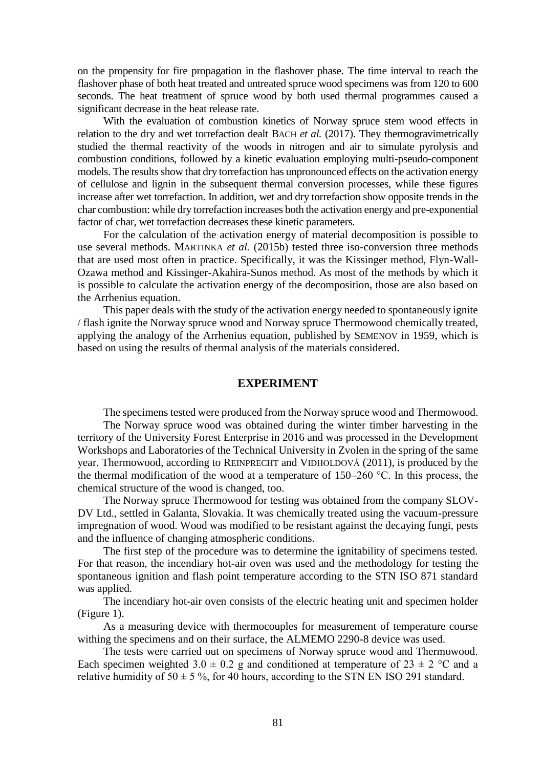on the propensity for fire propagation in the flashover phase. The time interval to reach the flashover phase of both heat treated and untreated spruce wood specimens was from 120 to 600 seconds. The heat treatment of spruce wood by both used thermal programmes caused a significant decrease in the heat release rate.

With the evaluation of combustion kinetics of Norway spruce stem wood effects in relation to the dry and wet torrefaction dealt BACH *et al.* (2017). They thermogravimetrically studied the thermal reactivity of the woods in nitrogen and air to simulate pyrolysis and combustion conditions, followed by a kinetic evaluation employing multi-pseudo-component models. The results show that dry torrefaction has unpronounced effects on the activation energy of cellulose and lignin in the subsequent thermal conversion processes, while these figures increase after wet torrefaction. In addition, wet and dry torrefaction show opposite trends in the char combustion: while dry torrefaction increases both the activation energy and pre-exponential factor of char, wet torrefaction decreases these kinetic parameters.

For the calculation of the activation energy of material decomposition is possible to use several methods. MARTINKA *et al.* (2015b) tested three iso-conversion three methods that are used most often in practice. Specifically, it was the Kissinger method, Flyn-Wall-Ozawa method and Kissinger-Akahira-Sunos method. As most of the methods by which it is possible to calculate the activation energy of the decomposition, those are also based on the Arrhenius equation.

This paper deals with the study of the activation energy needed to spontaneously ignite / flash ignite the Norway spruce wood and Norway spruce Thermowood chemically treated, applying the analogy of the Arrhenius equation, published by SEMENOV in 1959, which is based on using the results of thermal analysis of the materials considered.

#### **EXPERIMENT**

The specimens tested were produced from the Norway spruce wood and Thermowood.

The Norway spruce wood was obtained during the winter timber harvesting in the territory of the University Forest Enterprise in 2016 and was processed in the Development Workshops and Laboratories of the Technical University in Zvolen in the spring of the same year. Thermowood, according to REINPRECHT and VIDHOLDOVÁ (2011), is produced by the the thermal modification of the wood at a temperature of  $150-260$  °C. In this process, the chemical structure of the wood is changed, too.

The Norway spruce Thermowood for testing was obtained from the company SLOV-DV Ltd., settled in Galanta, Slovakia. It was chemically treated using the vacuum-pressure impregnation of wood. Wood was modified to be resistant against the decaying fungi, pests and the influence of changing atmospheric conditions.

The first step of the procedure was to determine the ignitability of specimens tested. For that reason, the incendiary hot-air oven was used and the methodology for testing the spontaneous ignition and flash point temperature according to the STN ISO 871 standard was applied.

The incendiary hot-air oven consists of the electric heating unit and specimen holder (Figure 1).

As a measuring device with thermocouples for measurement of temperature course withing the specimens and on their surface, the ALMEMO 2290-8 device was used.

The tests were carried out on specimens of Norway spruce wood and Thermowood. Each specimen weighted 3.0  $\pm$  0.2 g and conditioned at temperature of 23  $\pm$  2 °C and a relative humidity of  $50 \pm 5$ %, for 40 hours, according to the STN EN ISO 291 standard.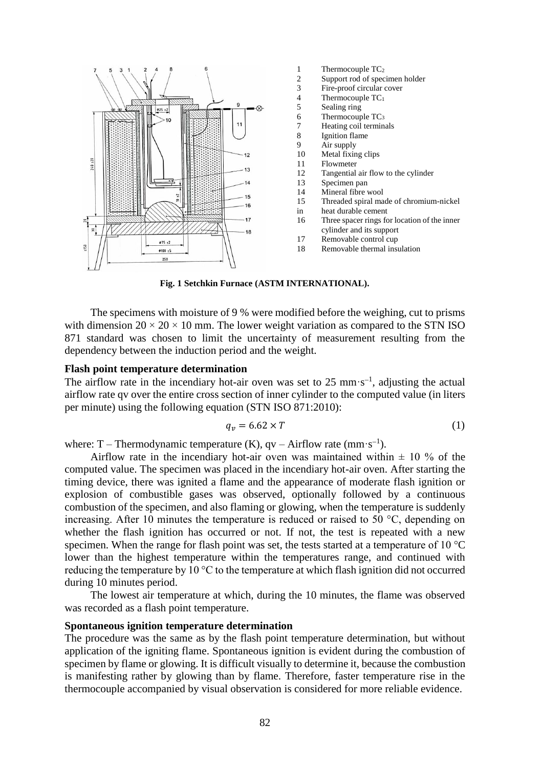

- 1 Thermocouple TC<sub>2</sub>
- 2 Support rod of specimen holder<br>3 Fire-proof circular cover
- $\frac{3}{4}$  Fire-proof circular cover<br> $\frac{4}{4}$  Thermocouple TC<sub>1</sub>
- Thermocouple  $TC_1$
- 5 Sealing ring<br>6 Thermocour
- 6 Thermocouple  $TC_3$ <br>7 Heating coil termina
- 7 Heating coil terminals<br>8 Ignition flame
- 8 Ignition flame<br>9 Air supply
- 9 Air supply<br>10 Metal fixin
- 10 Metal fixing clips<br>11 Flowmeter
- **Flowmeter**
- 12 Tangential air flow to the cylinder
- 13 Specimen pan
- 14 Mineral fibre wool
- 15 Threaded spiral made of chromium-nickel
- in heat durable cement
- 16 Three spacer rings for location of the inner
- cylinder and its support 17 Removable control cup
- 18 Removable thermal insulation

**Fig. 1 Setchkin Furnace (ASTM INTERNATIONAL).**

The specimens with moisture of 9 % were modified before the weighing, cut to prisms with dimension  $20 \times 20 \times 10$  mm. The lower weight variation as compared to the STN ISO 871 standard was chosen to limit the uncertainty of measurement resulting from the dependency between the induction period and the weight.

#### **Flash point temperature determination**

The airflow rate in the incendiary hot-air oven was set to  $25 \text{ mm} \cdot \text{s}^{-1}$ , adjusting the actual airflow rate qv over the entire cross section of inner cylinder to the computed value (in liters per minute) using the following equation (STN ISO 871:2010):

$$
q_v = 6.62 \times T \tag{1}
$$

where: T – Thermodynamic temperature (K),  $qv - Airflow$  rate (mm·s<sup>-1</sup>).

Airflow rate in the incendiary hot-air oven was maintained within  $\pm$  10 % of the computed value. The specimen was placed in the incendiary hot-air oven. After starting the timing device, there was ignited a flame and the appearance of moderate flash ignition or explosion of combustible gases was observed, optionally followed by a continuous combustion of the specimen, and also flaming or glowing, when the temperature is suddenly increasing. After 10 minutes the temperature is reduced or raised to 50  $\degree$ C, depending on whether the flash ignition has occurred or not. If not, the test is repeated with a new specimen. When the range for flash point was set, the tests started at a temperature of  $10^{\circ}$ C lower than the highest temperature within the temperatures range, and continued with reducing the temperature by 10 °C to the temperature at which flash ignition did not occurred during 10 minutes period.

The lowest air temperature at which, during the 10 minutes, the flame was observed was recorded as a flash point temperature.

### **Spontaneous ignition temperature determination**

The procedure was the same as by the flash point temperature determination, but without application of the igniting flame. Spontaneous ignition is evident during the combustion of specimen by flame or glowing. It is difficult visually to determine it, because the combustion is manifesting rather by glowing than by flame. Therefore, faster temperature rise in the thermocouple accompanied by visual observation is considered for more reliable evidence.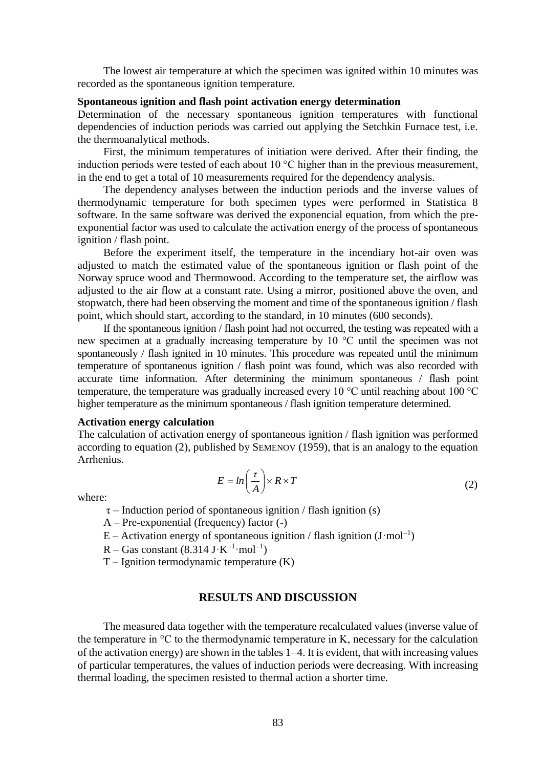The lowest air temperature at which the specimen was ignited within 10 minutes was recorded as the spontaneous ignition temperature.

#### **Spontaneous ignition and flash point activation energy determination**

Determination of the necessary spontaneous ignition temperatures with functional dependencies of induction periods was carried out applying the Setchkin Furnace test, i.e. the thermoanalytical methods.

First, the minimum temperatures of initiation were derived. After their finding, the induction periods were tested of each about  $10^{\circ}$ C higher than in the previous measurement, in the end to get a total of 10 measurements required for the dependency analysis.

The dependency analyses between the induction periods and the inverse values of thermodynamic temperature for both specimen types were performed in Statistica 8 software. In the same software was derived the exponencial equation, from which the preexponential factor was used to calculate the activation energy of the process of spontaneous ignition / flash point.

Before the experiment itself, the temperature in the incendiary hot-air oven was adjusted to match the estimated value of the spontaneous ignition or flash point of the Norway spruce wood and Thermowood. According to the temperature set, the airflow was adjusted to the air flow at a constant rate. Using a mirror, positioned above the oven, and stopwatch, there had been observing the moment and time of the spontaneous ignition / flash point, which should start, according to the standard, in 10 minutes (600 seconds).

If the spontaneous ignition / flash point had not occurred, the testing was repeated with a new specimen at a gradually increasing temperature by 10 °C until the specimen was not spontaneously / flash ignited in 10 minutes. This procedure was repeated until the minimum temperature of spontaneous ignition / flash point was found, which was also recorded with accurate time information. After determining the minimum spontaneous / flash point temperature, the temperature was gradually increased every 10 °C until reaching about 100 °C higher temperature as the minimum spontaneous / flash ignition temperature determined.

#### **Activation energy calculation**

The calculation of activation energy of spontaneous ignition / flash ignition was performed according to equation (2), published by SEMENOV (1959), that is an analogy to the equation Arrhenius.

$$
E = \ln\left(\frac{\tau}{A}\right) \times R \times T \tag{2}
$$

where:

- $\tau$  Induction period of spontaneous ignition / flash ignition (s)
- A Pre-exponential (frequency) factor (-)
- $E -$  Activation energy of spontaneous ignition / flash ignition (J·mol<sup>-1</sup>)
- $R Gas constant (8.314 J·K<sup>-1</sup>·mol<sup>-1</sup>)$
- $T I$ gnition termodynamic temperature  $(K)$

### **RESULTS AND DISCUSSION**

The measured data together with the temperature recalculated values (inverse value of the temperature in  ${}^{\circ}C$  to the thermodynamic temperature in K, necessary for the calculation of the activation energy) are shown in the tables  $1-4$ . It is evident, that with increasing values of particular temperatures, the values of induction periods were decreasing. With increasing thermal loading, the specimen resisted to thermal action a shorter time.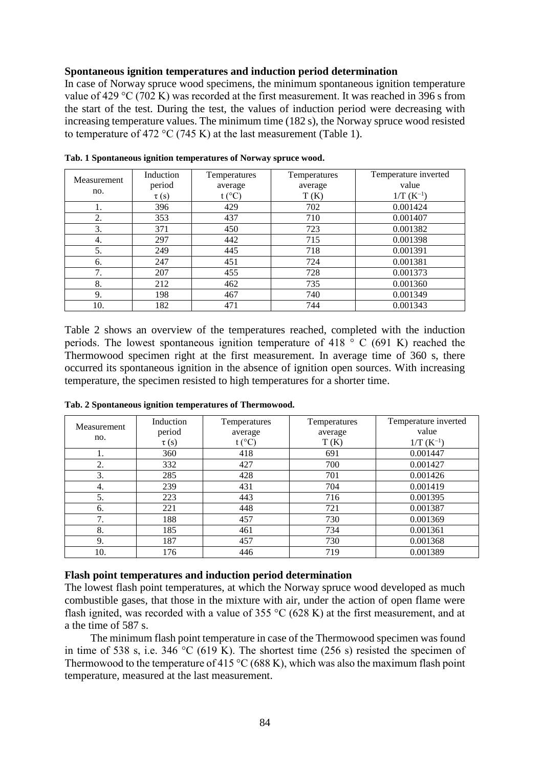## **Spontaneous ignition temperatures and induction period determination**

In case of Norway spruce wood specimens, the minimum spontaneous ignition temperature value of 429 °C (702 K) was recorded at the first measurement. It was reached in 396 s from the start of the test. During the test, the values of induction period were decreasing with increasing temperature values. The minimum time (182 s), the Norway spruce wood resisted to temperature of 472 °C (745 K) at the last measurement (Table 1).

| Measurement | Induction | Temperatures      | Temperatures | Temperature inverted |
|-------------|-----------|-------------------|--------------|----------------------|
|             | period    | average           | average      | value                |
| no.         | $\tau(s)$ | t ( $^{\circ}$ C) | T(K)         | $1/T (K^{-1})$       |
| 1.          | 396       | 429               | 702          | 0.001424             |
| 2.          | 353       | 437               | 710          | 0.001407             |
| 3.          | 371       | 450               | 723          | 0.001382             |
| 4.          | 297       | 442               | 715          | 0.001398             |
| 5.          | 249       | 445               | 718          | 0.001391             |
| 6.          | 247       | 451               | 724          | 0.001381             |
| 7.          | 207       | 455               | 728          | 0.001373             |
| 8.          | 212       | 462               | 735          | 0.001360             |
| 9.          | 198       | 467               | 740          | 0.001349             |
| 10.         | 182       | 471               | 744          | 0.001343             |

**Tab. 1 Spontaneous ignition temperatures of Norway spruce wood.**

Table 2 shows an overview of the temperatures reached, completed with the induction periods. The lowest spontaneous ignition temperature of 418 ° C (691 K) reached the Thermowood specimen right at the first measurement. In average time of 360 s, there occurred its spontaneous ignition in the absence of ignition open sources. With increasing temperature, the specimen resisted to high temperatures for a shorter time.

| Measurement | Induction | Temperatures | Temperatures | Temperature inverted |
|-------------|-----------|--------------|--------------|----------------------|
|             | period    | average      | average      | value                |
| no.         | $\tau(s)$ | (°C)         | T(K)         | $1/T (K^{-1})$       |
| 1.          | 360       | 418          | 691          | 0.001447             |
| 2.          | 332       | 427          | 700          | 0.001427             |
| 3.          | 285       | 428          | 701          | 0.001426             |
| 4.          | 239       | 431          | 704          | 0.001419             |
| 5.          | 223       | 443          | 716          | 0.001395             |
| 6.          | 221       | 448          | 721          | 0.001387             |
| 7.          | 188       | 457          | 730          | 0.001369             |
| 8.          | 185       | 461          | 734          | 0.001361             |
| 9.          | 187       | 457          | 730          | 0.001368             |
| 10.         | 176       | 446          | 719          | 0.001389             |

**Tab. 2 Spontaneous ignition temperatures of Thermowood.**

### **Flash point temperatures and induction period determination**

The lowest flash point temperatures, at which the Norway spruce wood developed as much combustible gases, that those in the mixture with air, under the action of open flame were flash ignited, was recorded with a value of 355  $\degree$ C (628 K) at the first measurement, and at a the time of 587 s.

The minimum flash point temperature in case of the Thermowood specimen was found in time of 538 s, i.e. 346 °C (619 K). The shortest time (256 s) resisted the specimen of Thermowood to the temperature of 415 °C (688 K), which was also the maximum flash point temperature, measured at the last measurement.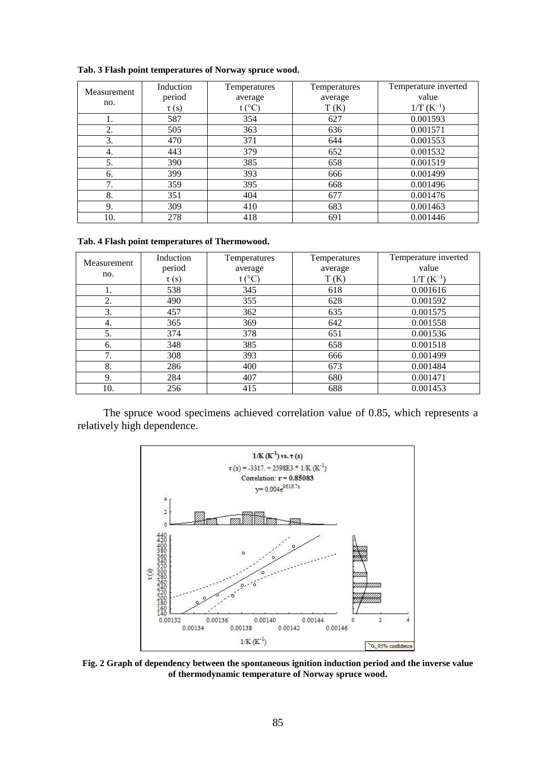|             | Induction | Temperatures | Temperatures | Temperature inverted |
|-------------|-----------|--------------|--------------|----------------------|
| Measurement | period    | average      | average      | value                |
| no.         | $\tau(s)$ | t (°C)       | T(K)         | $1/T (K^{-1})$       |
| 1.          | 587       | 354          | 627          | 0.001593             |
| 2.          | 505       | 363          | 636          | 0.001571             |
| 3.          | 470       | 371          | 644          | 0.001553             |
| 4.          | 443       | 379          | 652          | 0.001532             |
| 5.          | 390       | 385          | 658          | 0.001519             |
| 6.          | 399       | 393          | 666          | 0.001499             |
| 7.          | 359       | 395          | 668          | 0.001496             |
| 8.          | 351       | 404          | 677          | 0.001476             |
| 9.          | 309       | 410          | 683          | 0.001463             |
| 10.         | 278       | 418          | 691          | 0.001446             |

**Tab. 3 Flash point temperatures of Norway spruce wood.**

**Tab. 4 Flash point temperatures of Thermowood.**

| Measurement<br>no. | Induction<br>period | Temperatures<br>average | Temperatures<br>average | Temperature inverted<br>value |
|--------------------|---------------------|-------------------------|-------------------------|-------------------------------|
|                    | $\tau(s)$           | t (°C)                  | T(K)                    | $1/T (K^{-1})$                |
| 1.                 | 538                 | 345                     | 618                     | 0.001616                      |
| 2.                 | 490                 | 355                     | 628                     | 0.001592                      |
| 3.                 | 457                 | 362                     | 635                     | 0.001575                      |
| 4.                 | 365                 | 369                     | 642                     | 0.001558                      |
| 5.                 | 374                 | 378                     | 651                     | 0.001536                      |
| 6.                 | 348                 | 385                     | 658                     | 0.001518                      |
| 7.                 | 308                 | 393                     | 666                     | 0.001499                      |
| 8.                 | 286                 | 400                     | 673                     | 0.001484                      |
| 9.                 | 284                 | 407                     | 680                     | 0.001471                      |
| 10.                | 256                 | 415                     | 688                     | 0.001453                      |

The spruce wood specimens achieved correlation value of 0.85, which represents a relatively high dependence.



**Fig. 2 Graph of dependency between the spontaneous ignition induction period and the inverse value of thermodynamic temperature of Norway spruce wood.**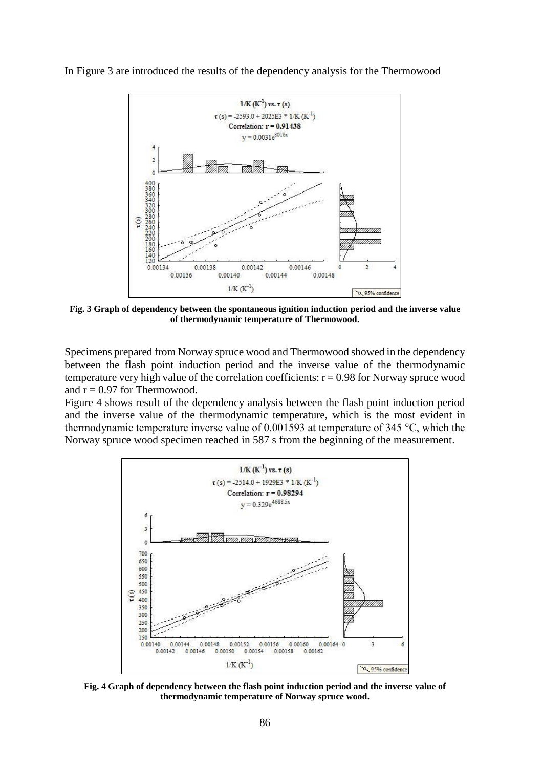In Figure 3 are introduced the results of the dependency analysis for the Thermowood



**Fig. 3 Graph of dependency between the spontaneous ignition induction period and the inverse value of thermodynamic temperature of Thermowood.**

Specimens prepared from Norway spruce wood and Thermowood showed in the dependency between the flash point induction period and the inverse value of the thermodynamic temperature very high value of the correlation coefficients:  $r = 0.98$  for Norway spruce wood and  $r = 0.97$  for Thermowood.

Figure 4 shows result of the dependency analysis between the flash point induction period and the inverse value of the thermodynamic temperature, which is the most evident in thermodynamic temperature inverse value of 0.001593 at temperature of 345 °C, which the Norway spruce wood specimen reached in 587 s from the beginning of the measurement.



**Fig. 4 Graph of dependency between the flash point induction period and the inverse value of thermodynamic temperature of Norway spruce wood.**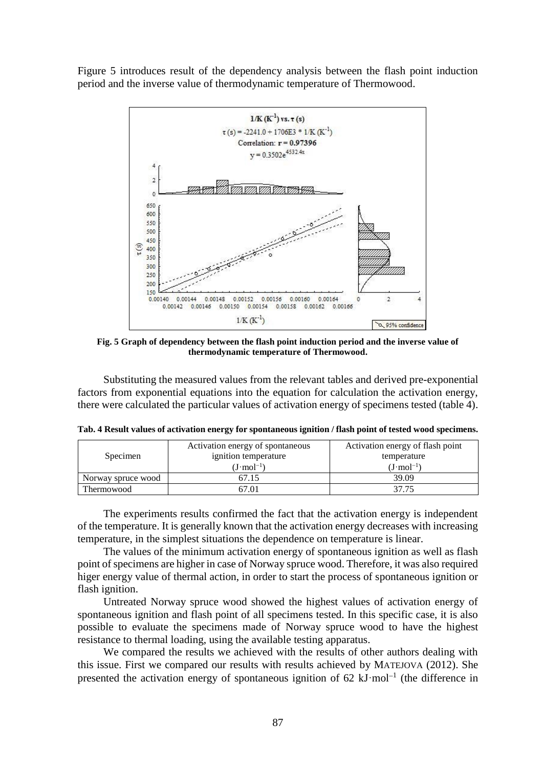Figure 5 introduces result of the dependency analysis between the flash point induction period and the inverse value of thermodynamic temperature of Thermowood.



**Fig. 5 Graph of dependency between the flash point induction period and the inverse value of thermodynamic temperature of Thermowood.**

Substituting the measured values from the relevant tables and derived pre-exponential factors from exponential equations into the equation for calculation the activation energy, there were calculated the particular values of activation energy of specimens tested (table 4).

| Specimen           | Activation energy of spontaneous<br>ignition temperature | Activation energy of flash point<br>temperature |  |
|--------------------|----------------------------------------------------------|-------------------------------------------------|--|
|                    | $(J \cdot mol^{-1})$                                     | $(J \cdot mol^{-1})$                            |  |
| Norway spruce wood | 67.15                                                    | 39.09                                           |  |
| Thermowood         | 67.01                                                    | 37 75                                           |  |

**Tab. 4 Result values of activation energy for spontaneous ignition / flash point of tested wood specimens.**

The experiments results confirmed the fact that the activation energy is independent of the temperature. It is generally known that the activation energy decreases with increasing temperature, in the simplest situations the dependence on temperature is linear.

The values of the minimum activation energy of spontaneous ignition as well as flash point of specimens are higher in case of Norway spruce wood. Therefore, it was also required higer energy value of thermal action, in order to start the process of spontaneous ignition or flash ignition.

Untreated Norway spruce wood showed the highest values of activation energy of spontaneous ignition and flash point of all specimens tested. In this specific case, it is also possible to evaluate the specimens made of Norway spruce wood to have the highest resistance to thermal loading, using the available testing apparatus.

We compared the results we achieved with the results of other authors dealing with this issue. First we compared our results with results achieved by MATEJOVA (2012). She presented the activation energy of spontaneous ignition of  $62 \text{ kJ·mol}^{-1}$  (the difference in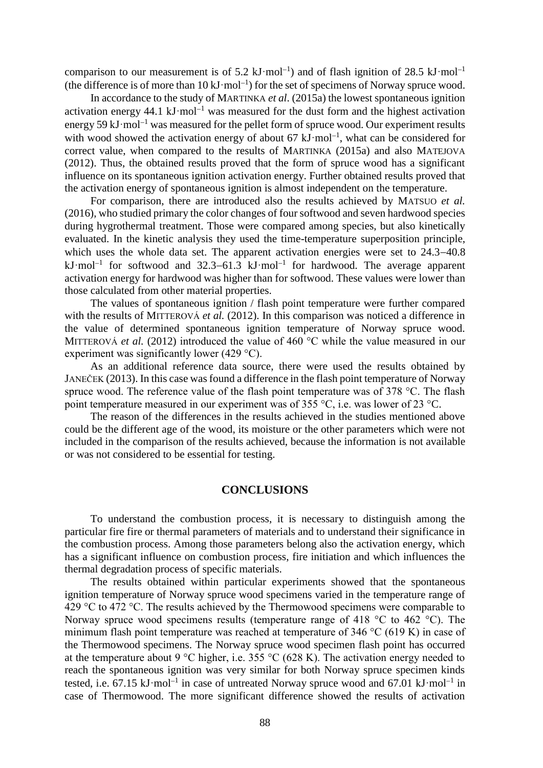comparison to our measurement is of 5.2  $kJ \cdot mol^{-1}$ ) and of flash ignition of 28.5  $kJ \cdot mol^{-1}$ (the difference is of more than  $10 \text{ kJ} \cdot \text{mol}^{-1}$ ) for the set of specimens of Norway spruce wood.

In accordance to the study of MARTINKA *et al*. (2015a) the lowest spontaneous ignition activation energy 44.1 kJ·mol<sup>-1</sup> was measured for the dust form and the highest activation energy 59 kJ·mol<sup>-1</sup> was measured for the pellet form of spruce wood. Our experiment results with wood showed the activation energy of about 67  $kJ \cdot mol^{-1}$ , what can be considered for correct value, when compared to the results of MARTINKA (2015a) and also MATEJOVA (2012). Thus, the obtained results proved that the form of spruce wood has a significant influence on its spontaneous ignition activation energy. Further obtained results proved that the activation energy of spontaneous ignition is almost independent on the temperature.

For comparison, there are introduced also the results achieved by MATSUO *et al.* (2016), who studied primary the color changes of four softwood and seven hardwood species during hygrothermal treatment. Those were compared among species, but also kinetically evaluated. In the kinetic analysis they used the time-temperature superposition principle, which uses the whole data set. The apparent activation energies were set to  $24.3-40.8$  $kJ \cdot mol^{-1}$  for softwood and 32.3–61.3  $kJ \cdot mol^{-1}$  for hardwood. The average apparent activation energy for hardwood was higher than for softwood. These values were lower than those calculated from other material properties.

The values of spontaneous ignition / flash point temperature were further compared with the results of MITTEROVÁ *et al.* (2012). In this comparison was noticed a difference in the value of determined spontaneous ignition temperature of Norway spruce wood. MITTEROVÁ *et al.* (2012) introduced the value of 460 °C while the value measured in our experiment was significantly lower (429 °C).

As an additional reference data source, there were used the results obtained by JANEČEK (2013). In this case was found a difference in the flash point temperature of Norway spruce wood. The reference value of the flash point temperature was of 378 °C. The flash point temperature measured in our experiment was of 355 °C, i.e. was lower of 23 °C.

The reason of the differences in the results achieved in the studies mentioned above could be the different age of the wood, its moisture or the other parameters which were not included in the comparison of the results achieved, because the information is not available or was not considered to be essential for testing.

### **CONCLUSIONS**

To understand the combustion process, it is necessary to distinguish among the particular fire fire or thermal parameters of materials and to understand their significance in the combustion process. Among those parameters belong also the activation energy, which has a significant influence on combustion process, fire initiation and which influences the thermal degradation process of specific materials.

The results obtained within particular experiments showed that the spontaneous ignition temperature of Norway spruce wood specimens varied in the temperature range of 429 °C to 472 °C. The results achieved by the Thermowood specimens were comparable to Norway spruce wood specimens results (temperature range of 418 °C to 462 °C). The minimum flash point temperature was reached at temperature of 346 °C (619 K) in case of the Thermowood specimens. The Norway spruce wood specimen flash point has occurred at the temperature about 9 °C higher, i.e. 355 °C (628 K). The activation energy needed to reach the spontaneous ignition was very similar for both Norway spruce specimen kinds tested, i.e. 67.15 kJ·mol<sup>-1</sup> in case of untreated Norway spruce wood and 67.01 kJ·mol<sup>-1</sup> in case of Thermowood. The more significant difference showed the results of activation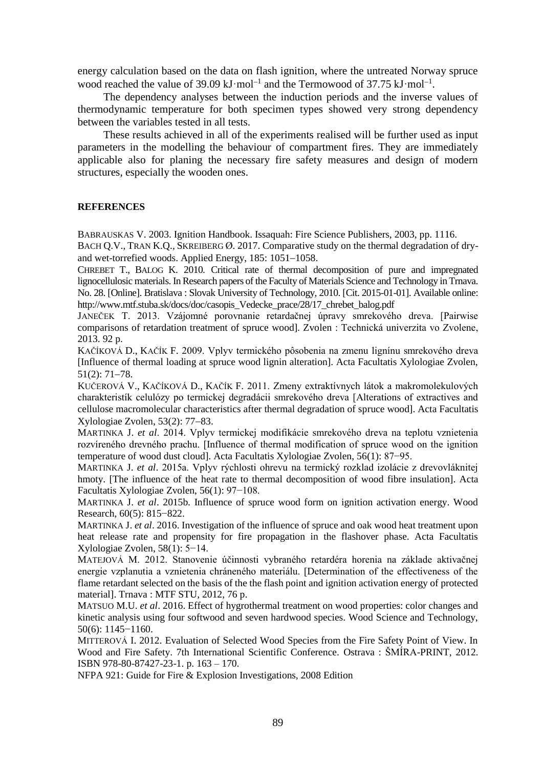energy calculation based on the data on flash ignition, where the untreated Norway spruce wood reached the value of 39.09  $kJ \cdot mol^{-1}$  and the Termowood of 37.75  $kJ \cdot mol^{-1}$ .

The dependency analyses between the induction periods and the inverse values of thermodynamic temperature for both specimen types showed very strong dependency between the variables tested in all tests.

These results achieved in all of the experiments realised will be further used as input parameters in the modelling the behaviour of compartment fires. They are immediately applicable also for planing the necessary fire safety measures and design of modern structures, especially the wooden ones.

### **REFERENCES**

BABRAUSKAS V. 2003. Ignition Handbook. Issaquah: Fire Science Publishers, 2003, pp. 1116.

BACH Q.V., TRAN K.Q., SKREIBERG Ø. 2017. Comparative study on the thermal degradation of dryand wet-torrefied woods. Applied Energy,  $185: 1051-1058$ .

CHREBET T., BALOG K. 2010. Critical rate of thermal decomposition of pure and impregnated lignocellulosic materials. In Research papers of the Faculty of Materials Science and Technology in Trnava. No. 28. [Online]. Bratislava : Slovak University of Technology, 2010. [Cit. 2015-01-01]. Available online: http://www.mtf.stuba.sk/docs/doc/casopis\_Vedecke\_prace/28/17\_chrebet\_balog.pdf

JANEČEK T. 2013. Vzájomné porovnanie retardačnej úpravy smrekového dreva. [Pairwise comparisons of retardation treatment of spruce wood]. Zvolen : Technická univerzita vo Zvolene, 2013. 92 p.

KAČÍKOVÁ D., KAČÍK F. 2009. Vplyv termického pôsobenia na zmenu lignínu smrekového dreva [Influence of thermal loading at spruce wood lignin alteration]. Acta Facultatis Xylologiae Zvolen,  $51(2): 71-78.$ 

KUČEROVÁ V., KAČÍKOVÁ D., KAČÍK F. 2011. Zmeny extraktívnych látok a makromolekulových charakteristík celulózy po termickej degradácii smrekového dreva [Alterations of extractives and cellulose macromolecular characteristics after thermal degradation of spruce wood]. Acta Facultatis Xylologiae Zvolen,  $53(2)$ :  $77-83$ .

MARTINKA J. *et al*. 2014. Vplyv termickej modifikácie smrekového dreva na teplotu vznietenia rozvíreného drevného prachu. [Influence of thermal modification of spruce wood on the ignition temperature of wood dust cloud]. Acta Facultatis Xylologiae Zvolen, 56(1): 87−95.

MARTINKA J. *et al*. 2015a. Vplyv rýchlosti ohrevu na termický rozklad izolácie z drevovláknitej hmoty. [The influence of the heat rate to thermal decomposition of wood fibre insulation]. Acta Facultatis Xylologiae Zvolen, 56(1): 97−108.

MARTINKA J. *et al*. 2015b. Influence of spruce wood form on ignition activation energy. Wood Research, 60(5): 815−822.

MARTINKA J. *et al*. 2016. Investigation of the influence of spruce and oak wood heat treatment upon heat release rate and propensity for fire propagation in the flashover phase. Acta Facultatis Xylologiae Zvolen, 58(1): 5−14.

MATEJOVÁ M. 2012. Stanovenie účinnosti vybraného retardéra horenia na základe aktivačnej energie vzplanutia a vznietenia chráneného materiálu. [Determination of the effectiveness of the flame retardant selected on the basis of the the flash point and ignition activation energy of protected material]. Trnava : MTF STU, 2012, 76 p.

MATSUO M.U. *et al*. 2016. Effect of hygrothermal treatment on wood properties: color changes and kinetic analysis using four softwood and seven hardwood species. Wood Science and Technology, 50(6): 1145−1160.

MITTEROVÁ I. 2012. Evaluation of Selected Wood Species from the Fire Safety Point of View. In Wood and Fire Safety. 7th International Scientific Conference. Ostrava : ŠMÍRA-PRINT, 2012. ISBN 978-80-87427-23-1. p. 163 – 170.

NFPA 921: Guide for Fire & Explosion Investigations, 2008 Edition